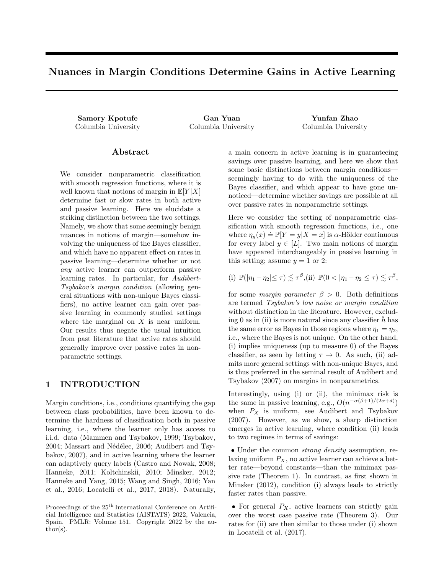# Nuances in Margin Conditions Determine Gains in Active Learning

Samory Kpotufe Gan Yuan Yunfan Zhao Columbia University Columbia University Columbia University

## Abstract

We consider nonparametric classification with smooth regression functions, where it is well known that notions of margin in  $\mathbb{E}[Y|X]$ determine fast or slow rates in both active and passive learning. Here we elucidate a striking distinction between the two settings. Namely, we show that some seemingly benign nuances in notions of margin—somehow involving the uniqueness of the Bayes classifier, and which have no apparent effect on rates in passive learning—determine whether or not any active learner can outperform passive learning rates. In particular, for Audibert-Tsybakov's margin condition (allowing general situations with non-unique Bayes classifiers), no active learner can gain over passive learning in commonly studied settings where the marginal on  $X$  is near uniform. Our results thus negate the usual intuition from past literature that active rates should generally improve over passive rates in nonparametric settings.

# 1 INTRODUCTION

Margin conditions, i.e., conditions quantifying the gap between class probabilities, have been known to determine the hardness of classification both in passive learning, i.e., where the learner only has access to i.i.d. data (Mammen and Tsybakov, 1999; Tsybakov, 2004; Massart and Nédélec, 2006; Audibert and Tsybakov, 2007), and in active learning where the learner can adaptively query labels (Castro and Nowak, 2008; Hanneke, 2011; Koltchinskii, 2010; Minsker, 2012; Hanneke and Yang, 2015; Wang and Singh, 2016; Yan et al., 2016; Locatelli et al., 2017, 2018). Naturally, a main concern in active learning is in guaranteeing savings over passive learning, and here we show that some basic distinctions between margin conditions seemingly having to do with the uniqueness of the Bayes classifier, and which appear to have gone unnoticed—determine whether savings are possible at all over passive rates in nonparametric settings.

Here we consider the setting of nonparametric classification with smooth regression functions, i.e., one where  $\eta_y(x) \doteq \mathbb{P}[Y = y | X = x]$  is  $\alpha$ -Hölder continuous for every label  $y \in [L]$ . Two main notions of margin have appeared interchangeably in passive learning in this setting; assume  $y = 1$  or 2:

(i)  $\mathbb{P}(|\eta_1 - \eta_2| \leq \tau) \lesssim \tau^{\beta}$ , (ii)  $\mathbb{P}(0 < |\eta_1 - \eta_2| \leq \tau) \lesssim \tau^{\beta}$ ,

for some margin parameter  $\beta > 0$ . Both definitions are termed Tsybakov's low noise or margin condition without distinction in the literature. However, excluding 0 as in (ii) is more natural since any classifier  $h$  has the same error as Bayes in those regions where  $\eta_1 = \eta_2$ , i.e., where the Bayes is not unique. On the other hand, (i) implies uniqueness (up to measure 0) of the Bayes classifier, as seen by letting  $\tau \to 0$ . As such, (ii) admits more general settings with non-unique Bayes, and is thus preferred in the seminal result of Audibert and Tsybakov (2007) on margins in nonparametrics.

Interestingly, using (i) or (ii), the minimax risk is the same in passive learning, e.g.,  $O(n^{-\alpha(\beta+1)/(2\alpha+d)})$ when  $P_X$  is uniform, see Audibert and Tsybakov (2007). However, as we show, a sharp distinction emerges in active learning, where condition (ii) leads to two regimes in terms of savings:

• Under the common *strong density* assumption, relaxing uniform  $P_X$ , no active learner can achieve a better rate—beyond constants—than the minimax passive rate (Theorem 1). In contrast, as first shown in Minsker (2012), condition (i) always leads to strictly faster rates than passive.

• For general  $P_X$ , active learners can strictly gain over the worst case passive rate (Theorem 3). Our rates for (ii) are then similar to those under (i) shown in Locatelli et al. (2017).

Proceedings of the  $25<sup>th</sup>$  International Conference on Artificial Intelligence and Statistics (AISTATS) 2022, Valencia, Spain. PMLR: Volume 151. Copyright 2022 by the au- $\text{thor}(s)$ .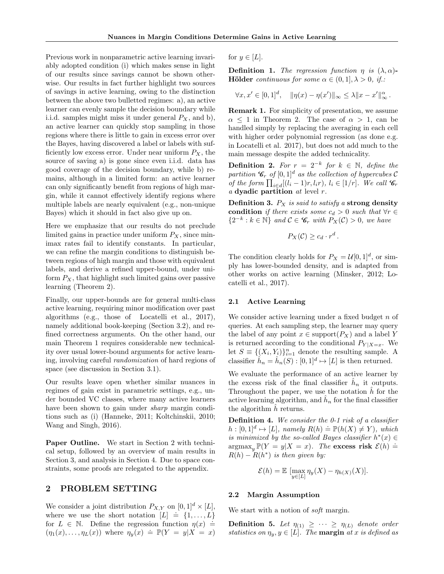Previous work in nonparametric active learning invariably adopted condition (i) which makes sense in light of our results since savings cannot be shown otherwise. Our results in fact further highlight two sources of savings in active learning, owing to the distinction between the above two bulletted regimes: a), an active learner can evenly sample the decision boundary while i.i.d. samples might miss it under general  $P_X$ , and b), an active learner can quickly stop sampling in those regions where there is little to gain in excess error over the Bayes, having discovered a label or labels with sufficiently low excess error. Under near uniform  $P_X$ , the source of saving a) is gone since even i.i.d. data has good coverage of the decision boundary, while b) remains, although in a limited form: an active learner can only significantly benefit from regions of high margin, while it cannot effectively identify regions where multiple labels are nearly equivalent (e.g., non-unique Bayes) which it should in fact also give up on.

Here we emphasize that our results do not preclude limited gains in practice under uniform  $P_X$ , since minimax rates fail to identify constants. In particular, we can refine the margin conditions to distinguish between regions of high margin and those with equivalent labels, and derive a refined upper-bound, under uniform  $P_X$ , that highlight such limited gains over passive learning (Theorem 2).

Finally, our upper-bounds are for general multi-class active learning, requiring minor modification over past algorithms (e.g., those of Locatelli et al., 2017), namely additional book-keeping (Section 3.2), and refined correctness arguments. On the other hand, our main Theorem 1 requires considerable new technicality over usual lower-bound arguments for active learning, involving careful randomization of hard regions of space (see discussion in Section 3.1).

Our results leave open whether similar nuances in regimes of gain exist in parametric settings, e.g., under bounded VC classes, where many active learners have been shown to gain under *sharp* margin conditions such as (i) (Hanneke, 2011; Koltchinskii, 2010; Wang and Singh, 2016).

Paper Outline. We start in Section 2 with technical setup, followed by an overview of main results in Section 3, and analysis in Section 4. Due to space constraints, some proofs are relegated to the appendix.

# 2 PROBLEM SETTING

We consider a joint distribution  $P_{X,Y}$  on  $[0,1]^d \times [L]$ , where we use the short notation  $[L] \doteq \{1, \ldots, L\}$ for  $L \in \mathbb{N}$ . Define the regression function  $\eta(x) =$  $(\eta_1(x), \ldots, \eta_L(x))$  where  $\eta_y(x) \doteq \mathbb{P}(Y = y | X = x)$ 

for  $y \in [L]$ .

**Definition 1.** The regression function  $\eta$  is  $(\lambda, \alpha)$ -**Hölder** continuous for some  $\alpha \in (0, 1], \lambda > 0$ , if.:

$$
\forall x, x' \in [0,1]^d, \quad \|\eta(x) - \eta(x')\|_{\infty} \le \lambda \|x - x'\|_{\infty}^{\alpha}.
$$

Remark 1. For simplicity of presentation, we assume  $\alpha \leq 1$  in Theorem 2. The case of  $\alpha > 1$ , can be handled simply by replacing the averaging in each cell with higher order polynomial regression (as done e.g. in Locatelli et al. 2017), but does not add much to the main message despite the added technicality.

**Definition 2.** For  $r = 2^{-k}$  for  $k \in \mathbb{N}$ , define the partition  $\mathcal{C}_r$  of  $[0, 1]^d$  as the collection of hypercubes  $\mathcal C$ of the form  $\prod_{i \in d} [(l_i - 1)r, l_i r), l_i \in [1/r]$ . We call  $C_r$  $a$  dyadic partition  $at$  level  $r$ .

Definition 3.  $P_X$  is said to satisfy a strong density condition if there exists some  $c_d > 0$  such that  $\forall r \in$  $\{2^{-k}: k \in \mathbb{N}\}\$ and  $\mathcal{C} \in \mathscr{C}_r$  with  $P_X(\mathcal{C}) > 0$ , we have

$$
P_X(\mathcal{C}) \geq c_d \cdot r^d \,.
$$

The condition clearly holds for  $P_X = \mathcal{U}[0,1]^d$ , or simply has lower-bounded density, and is adapted from other works on active learning (Minsker, 2012; Locatelli et al., 2017).

## 2.1 Active Learning

We consider active learning under a fixed budget  $n$  of queries. At each sampling step, the learner may query the label of any point  $x \in \text{support}(P_X)$  and a label Y is returned according to the conditional  $P_{Y|X=x}$ . We let  $S \equiv \{(X_i, Y_i)\}_{i=1}^n$  denote the resulting sample. A classifier  $\hat{h}_n = \hat{h}_n(S) : [0, 1]^d \mapsto [L]$  is then returned.

We evaluate the performance of an active learner by the excess risk of the final classifier  $\hat{h}_n$  it outputs. Throughout the paper, we use the notation  $h$  for the active learning algorithm, and  $\hat{h}_n$  for the final classifier the algorithm  $h$  returns.

**Definition 4.** We consider the  $0-1$  risk of a classifier **Definition 1:** We consider the  $\sigma$  1 risk of a classifier<br> $h : [0,1]^d \mapsto [L]$ , namely  $R(h) \doteq \mathbb{P}(h(X) \neq Y)$ , which is minimized by the so-called Bayes classifier  $h^*(x) \in$ argmax<sub>y</sub>  $\mathbb{P}(Y = y | X = x)$ . The excess risk  $\mathcal{E}(h) \doteq$  $R(h) - R(h^*)$  is then given by:

$$
\mathcal{E}(h) = \mathbb{E} \left[ \max_{y \in [L]} \eta_y(X) - \eta_{h(X)}(X) \right].
$$

#### 2.2 Margin Assumption

We start with a notion of *soft* margin.

**Definition 5.** Let  $\eta_{(1)} \geq \cdots \geq \eta_{(L)}$  denote order statistics on  $\eta_y, y \in [L]$ . The **margin** at x is defined as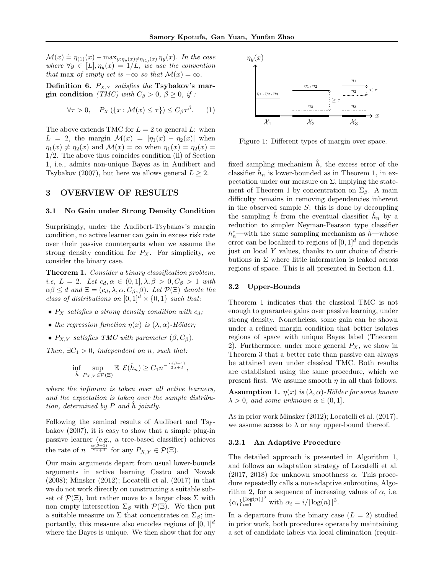$\mathcal{M}(x) \doteq \eta_{(1)}(x) - \max_{y: \eta_y(x) \neq \eta_{(1)}(x)} \eta_y(x)$ . In the case where  $\forall y \in [L], \eta_y(x) = 1/L$ , we use the convention that max of empty set is  $-\infty$  so that  $\mathcal{M}(x) = \infty$ .

Definition 6.  $P_{X,Y}$  satisfies the Tsybakov's margin condition (TMC) with  $C_\beta > 0$ ,  $\beta \geq 0$ , if :

$$
\forall \tau > 0, \quad P_X(\{x : \mathcal{M}(x) \le \tau\}) \le C_\beta \tau^\beta. \tag{1}
$$

The above extends TMC for  $L = 2$  to general L: when  $L = 2$ , the margin  $\mathcal{M}(x) = |\eta_1(x) - \eta_2(x)|$  when  $\eta_1(x) \neq \eta_2(x)$  and  $\mathcal{M}(x) = \infty$  when  $\eta_1(x) = \eta_2(x) =$ 1/2. The above thus coincides condition (ii) of Section 1, i.e., admits non-unique Bayes as in Audibert and Tsybakov (2007), but here we allows general  $L \geq 2$ .

# 3 OVERVIEW OF RESULTS

#### 3.1 No Gain under Strong Density Condition

Surprisingly, under the Audibert-Tsybakov's margin condition, no active learner can gain in excess risk rate over their passive counterparts when we assume the strong density condition for  $P_X$ . For simplicity, we consider the binary case.

Theorem 1. Consider a binary classification problem, i.e,  $L = 2$ . Let  $c_d, \alpha \in (0,1], \lambda, \beta > 0, C_\beta > 1$  with  $\alpha\beta \leq d$  and  $\Xi = (c_d, \lambda, \alpha, C_\beta, \beta)$ . Let  $\mathcal{P}(\Xi)$  denote the class of distributions on  $[0,1]^d \times \{0,1\}$  such that:

- $P_X$  satisfies a strong density condition with  $c_d$ ;
- the regression function  $\eta(x)$  is  $(\lambda, \alpha)$ -Hölder;
- $P_{X,Y}$  satisfies TMC with parameter  $(\beta, C_{\beta})$ .

Then,  $\exists C_1 > 0$ , independent on n, such that:

$$
\inf_{\hat{h}} \sup_{P_{X,Y} \in \mathcal{P}(\Xi)} \mathbb{E} \ \mathcal{E}(\hat{h}_n) \geq C_1 n^{-\frac{\alpha(\beta+1)}{2\alpha+d}},
$$

where the infimum is taken over all active learners, and the expectation is taken over the sample distribution, determined by  $P$  and  $\hat{h}$  jointly.

Following the seminal results of Audibert and Tsybakov (2007), it is easy to show that a simple plug-in passive learner (e.g., a tree-based classifier) achieves the rate of  $n^{-\frac{\alpha(\beta+1)}{2\alpha+d}}$  for any  $P_{X,Y} \in \mathcal{P}(\Xi)$ .

Our main arguments depart from usual lower-bounds arguments in active learning Castro and Nowak (2008); Minsker (2012); Locatelli et al. (2017) in that we do not work directly on constructing a suitable subset of  $\mathcal{P}(\Xi)$ , but rather move to a larger class  $\Sigma$  with non empty intersection  $\Sigma_{\beta}$  with  $\mathcal{P}(\Xi)$ . We then put a suitable measure on  $\Sigma$  that concentrates on  $\Sigma_{\beta}$ ; importantly, this measure also encodes regions of  $[0, 1]^d$ where the Bayes is unique. We then show that for any



Figure 1: Different types of margin over space.

fixed sampling mechanism  $\hat{h}$ , the excess error of the classifier  $\hat{h}_n$  is lower-bounded as in Theorem 1, in expectation under our measure on  $\Sigma$ , implying the statement of Theorem 1 by concentration on  $\Sigma_{\beta}$ . A main difficulty remains in removing dependencies inherent in the observed sample  $S$ : this is done by decoupling the sampling  $\hat{h}$  from the eventual classifier  $\hat{h}_n$  by a reduction to simpler Neyman-Pearson type classifier  $h_n^*$ —with the same sampling mechanism as  $\hat{h}$ —whose error can be localized to regions of  $[0, 1]^d$  and depends just on local Y values, thanks to our choice of distributions in  $\Sigma$  where little information is leaked across regions of space. This is all presented in Section 4.1.

## 3.2 Upper-Bounds

Theorem 1 indicates that the classical TMC is not enough to guarantee gains over passive learning, under strong density. Nonetheless, some gain can be shown under a refined margin condition that better isolates regions of space with unique Bayes label (Theorem 2). Furthermore, under more general  $P_X$ , we show in Theorem 3 that a better rate than passive can always be attained even under classical TMC. Both results are established using the same procedure, which we present first. We assume smooth  $\eta$  in all that follows.

**Assumption 1.**  $\eta(x)$  is  $(\lambda, \alpha)$ -Hölder for some known  $\lambda > 0$ , and some unknown  $\alpha \in (0, 1]$ .

As in prior work Minsker (2012); Locatelli et al. (2017), we assume access to  $\lambda$  or any upper-bound thereof.

### 3.2.1 An Adaptive Procedure

The detailed approach is presented in Algorithm 1, and follows an adaptation strategy of Locatelli et al.  $(2017, 2018)$  for unknown smoothness  $\alpha$ . This procedure repeatedly calls a non-adaptive subroutine, Algorithm 2, for a sequence of increasing values of  $\alpha$ , i.e.  ${\alpha_i\}_{i=1}^{\lfloor \log(n)\rfloor^3}$  with  $\alpha_i = i/\lfloor \log(n)\rfloor^3$ .

In a departure from the binary case  $(L = 2)$  studied in prior work, both procedures operate by maintaining a set of candidate labels via local elimination (requir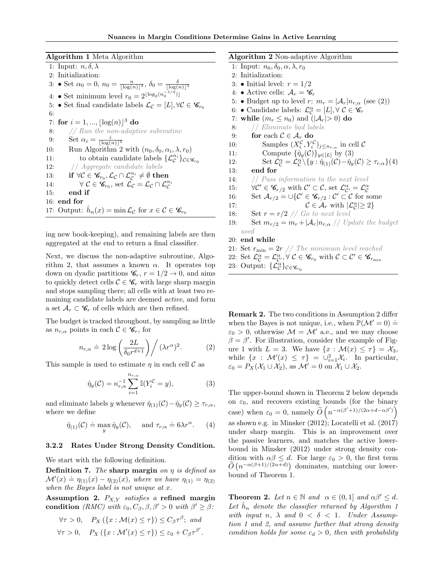Algorithm 1 Meta Algorithm

1: Input:  $n, \delta, \lambda$ 2: Initialization: 3: • Set  $\alpha_0 = 0$ ,  $n_0 = \frac{n}{\lfloor \log(n) \rfloor^3}$ ,  $\delta_0 = \frac{\delta}{\lfloor \log(n) \rfloor^3}$ 4: ● Set minimum level  $r_0 = 2^{\lfloor \log_2(n_0^{-1/d}) \rfloor}$ 5: • Set final candidate labels  $\mathcal{L}_{\mathcal{C}} = [L], \forall \mathcal{C} \in \mathscr{C}_{r_0}$ 6: 7: for  $i = 1, ..., \lfloor \log(n) \rfloor^3$  do 8:  $//$  Run the non-adaptive subroutine 9: Set  $\alpha_i = \frac{i}{\lfloor \log(n) \rfloor^3}$ 10: Run Algorithm 2 with  $(n_0, \delta_0, \alpha_i, \lambda, r_0)$ 11: to obtain candidate labels  $\{\mathcal{L}_{\mathcal{C}}^{\alpha_i}\}_{\mathcal{C}\in\mathscr{C}_{r_0}}$ 12: // Aggregate candidate labels 13: if  $\forall \mathcal{C} \in \mathscr{C}_{r_0}, \mathcal{L}_{\mathcal{C}} \cap \mathcal{L}_{\mathcal{C}}^{\alpha_i} \neq \emptyset$  then 14:  $\forall \mathcal{C} \in \mathscr{C}_{r_0}, \text{ set } \mathcal{L}_{\mathcal{C}} = \mathcal{L}_{\mathcal{C}} \cap \mathcal{L}_{\mathcal{C}}^{\alpha_i}$ 15: end if 16: end for 17: Output:  $\hat{h}_n(x) = \min \mathcal{L}_{\mathcal{C}}$  for  $x \in \mathcal{C} \in \mathscr{C}_{r_0}$ 

ing new book-keeping), and remaining labels are then aggregated at the end to return a final classifier.

Next, we discuss the non-adaptive subroutine, Algorithm 2, that assumes a known  $\alpha$ . It operates top down on dyadic partitions  $\mathcal{C}_r$ ,  $r = 1/2 \rightarrow 0$ , and aims to quickly detect cells  $\mathcal{C} \in \mathscr{C}_r$  with large sharp margin and stops sampling there; all cells with at least two remaining candidate labels are deemed active, and form a set  $\mathcal{A}_r \subset \mathscr{C}_r$  of cells which are then refined.

The budget is tracked throughout, by sampling as little as  $n_{r,\alpha}$  points in each  $\mathcal{C} \in \mathscr{C}_r$ , for

$$
n_{r,\alpha} \doteq 2\log\left(\frac{2L}{\delta_0 r^{d+1}}\right) / \left(\lambda r^{\alpha}\right)^2. \tag{2}
$$

This sample is used to estimate  $\eta$  in each cell C as

$$
\hat{\eta}_y(\mathcal{C}) = n_{r,\alpha}^{-1} \sum_{i=1}^{n_{r,\alpha}} \mathbb{I}(Y_i^{\mathcal{C}} = y), \tag{3}
$$

and eliminate labels y whenever  $\hat{\eta}_{(1)}(\mathcal{C})-\hat{\eta}_{\nu}(\mathcal{C}) \geq \tau_{r,\alpha}$ , where we define

$$
\hat{\eta}_{(1)}(\mathcal{C}) \doteq \max_{y} \hat{\eta}_{y}(\mathcal{C}), \quad \text{ and } \tau_{r,\alpha} \doteq 6\lambda r^{\alpha}.\tag{4}
$$

## 3.2.2 Rates Under Strong Density Condition.

We start with the following definition.

**Definition 7.** The sharp margin on  $\eta$  is defined as **Definition**  $\mathbf{R}$ . The shall political is defined as<br> $\mathcal{M}'(x) \doteq \eta_{(1)}(x) - \eta_{(2)}(x)$ , where we have  $\eta_{(1)} = \eta_{(2)}$ when the Bayes label is not unique at x.

Assumption 2.  $P_{X,Y}$  satisfies a refined margin condition (RMC) with  $\varepsilon_0$ ,  $C_\beta$ ,  $\beta$ ,  $\beta' > 0$  with  $\beta' \geq \beta$ :

$$
\forall \tau > 0, \quad P_X (\{x : \mathcal{M}(x) \le \tau\}) \le C_\beta \tau^\beta; \text{ and}
$$
  

$$
\forall \tau > 0, \quad P_X (\{x : \mathcal{M}'(x) \le \tau\}) \le \varepsilon_0 + C_\beta \tau^{\beta'}.
$$

Algorithm 2 Non-adaptive Algorithm 1: Input:  $n_0, \delta_0, \alpha, \lambda, r_0$ 2: Initialization: 3:  $\bullet$  Initial level:  $r = 1/2$ 4: • Active cells:  $A_r = \mathscr{C}_r$ 5: • Budget up to level r:  $m_r = |\mathcal{A}_r| n_{r,\alpha}$  (see (2)) 6: • Candidate labels:  $\mathcal{L}_{\mathcal{C}}^{\alpha} = [L], \forall \mathcal{C} \in \mathscr{C}_r$ 7: while  $(m_r \leq n_0)$  and  $(|\mathcal{A}_r| > 0)$  do 8: // Eliminate bad labels 9: for each  $C \in \mathcal{A}_r$  do 10: Samples  $(X_i^{\mathcal{C}}, Y_i^{\mathcal{C}})_{j \leq n_{r,\alpha}}$  in cell  $\mathcal{C}$ 11: Compute  $\{\hat{\eta}_y(\mathcal{C})\}_{y\in[L]}$  by (3) 12: Set  $\mathcal{L}_{\mathcal{C}}^{\alpha} = \mathcal{L}_{\mathcal{C}}^{\alpha} \setminus \{y : \hat{\eta}_{(1)}(\mathcal{C}) - \hat{\eta}_{y}(\mathcal{C}) \geq \tau_{r,\alpha}\}(4)$ 13: end for 14: // *Pass information to the next level* 15:  $\forall \mathcal{C}' \in \mathscr{C}_{r/2}$  with  $\mathcal{C}' \subset \mathcal{C}$ , set  $\mathcal{L}_{\mathcal{C}'}^{\alpha} = \mathcal{L}_{\mathcal{C}}^{\alpha}$ 16: Set  $A_{r/2} = \bigcup \{ \mathcal{C} \in \mathscr{C}_{r/2} : \mathcal{C}' \subset \mathcal{C} \text{ for some } \}$ 17:  $\mathcal{C} \in \mathcal{A}_r$  with  $|\mathcal{L}_\mathcal{C}^\alpha| \geq 2$ 18: Set  $r = r/2$  // Go to next level 19: Set  $m_{r/2} = m_r + |\mathcal{A}_r| n_{r,\alpha}$  // Update the budget used 20: end while 21: Set  $r_{\min} = 2r$  // The minimum level reached 22: Set  $\mathcal{L}_{\mathcal{C}}^{\alpha} = \mathcal{L}_{\mathcal{C}'}^{\alpha}, \forall \mathcal{C} \in \mathscr{C}_{r_0}$  with  $\mathcal{C} \subset \mathcal{C}' \in \mathscr{C}_{r_{\min}}$ 

23: Output: 
$$
\{\mathcal{L}_{\mathcal{C}}^{\alpha}\}_{\mathcal{C}\in\mathscr{C}_{r_0}}
$$

Remark 2. The two conditions in Assumption 2 differ when the Bayes is not unique, i.e., when  $\mathbb{P}(\mathcal{M}' = 0)$  =  $\varepsilon_0 > 0$ , otherwise  $\mathcal{M} = \mathcal{M}'$  a.e., and we may choose  $\beta = \beta'$ . For illustration, consider the example of Figure 1 with  $L = 3$ . We have  $\{x : \mathcal{M}(x) \leq \tau\} = \mathcal{X}_3$ , while  $\{x : \mathcal{M}'(x) \leq \tau\} = \bigcup_{i=1}^{3} \mathcal{X}_i$ . In particular,  $\varepsilon_0 = P_X(\mathcal{X}_1 \cup \mathcal{X}_2)$ , as  $\mathcal{M}' = 0$  on  $\mathcal{X}_1 \cup \mathcal{X}_2$ .

The upper-bound shown in Theorem 2 below depends on  $\varepsilon_0$ , and recovers existing bounds (for the binary case) when  $\varepsilon_0 = 0$ , namely  $\widetilde{O}\left(n^{-\alpha(\beta'+1)/(2\alpha+d-\alpha\beta')}\right)$ as shown e.g. in Minsker (2012); Locatelli et al. (2017) under sharp margin. This is an improvement over the passive learners, and matches the active lowerbound in Minsker (2012) under strong density condition with  $\alpha\beta \leq d$ . For large  $\varepsilon_0 > 0$ , the first term  $\tilde{O}(n^{-\alpha(\beta+1)/(2\alpha+d)})$  dominates, matching our lowerbound of Theorem 1.

**Theorem 2.** Let  $n \in \mathbb{N}$  and  $\alpha \in (0,1]$  and  $\alpha\beta' \leq d$ . Let  $\hat{h}_n$  denote the classifier returned by Algorithm 1 with input n,  $\lambda$  and  $0 < \delta < 1$ . Under Assumption 1 and 2, and assume further that strong density condition holds for some  $c_d > 0$ , then with probability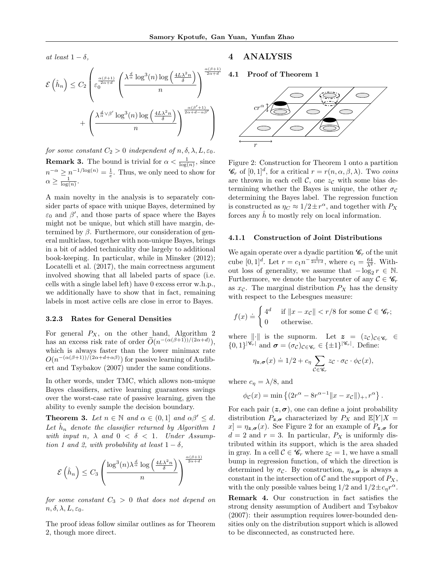at least  $1 - \delta$ .

$$
\mathcal{E}\left(\hat{h}_n\right) \leq C_2 \left(\varepsilon_0^{\frac{\alpha(\beta+1)}{2\alpha+d}} \left(\frac{\lambda^{\frac{d}{\alpha}}\log^3(n)\log\left(\frac{4L\lambda^2n}{\delta}\right)}{n}\right)^{\frac{\alpha(\beta+1)}{2\alpha+d}} + \left(\frac{\lambda^{\frac{d}{\alpha}\sqrt{\beta'}}\log^3(n)\log\left(\frac{4L\lambda^2n}{\delta}\right)}{n}\right)^{\frac{\alpha(\beta'+1)}{2\alpha+d-\alpha\beta'}}
$$

for some constant  $C_2 > 0$  independent of  $n, \delta, \lambda, L, \varepsilon_0$ . **Remark 3.** The bound is trivial for  $\alpha < \frac{1}{\log(n)}$ , since  $n^{-\alpha} \geq n^{-1/\log(n)} = \frac{1}{e}$ . Thus, we only need to show for  $\alpha \geq \frac{1}{\log(n)}$ .

A main novelty in the analysis is to separately consider parts of space with unique Bayes, determined by  $\varepsilon_0$  and  $\beta'$ , and those parts of space where the Bayes might not be unique, but which still have margin, determined by  $\beta$ . Furthermore, our consideration of general multiclass, together with non-unique Bayes, brings in a bit of added technicality due largely to additional book-keeping. In particular, while in Minsker (2012); Locatelli et al. (2017), the main correctness argument involved showing that all labeled parts of space (i.e. cells with a single label left) have 0 excess error w.h.p., we additionally have to show that in fact, remaining labels in most active cells are close in error to Bayes.

### 3.2.3 Rates for General Densities

For general  $P_X$ , on the other hand, Algorithm 2 has an excess risk rate of order  $\widetilde{O}(n^{-(\alpha(\beta+1))/(2\alpha+d)}),$ which is always faster than the lower minimax rate  $O(n^{-(\alpha(\beta+1))/(2\alpha+d+\alpha\beta)})$  for passive learning of Audibert and Tsybakov (2007) under the same conditions.

In other words, under TMC, which allows non-unique Bayes classifiers, active learning guarantees savings over the worst-case rate of passive learning, given the ability to evenly sample the decision boundary.

**Theorem 3.** Let  $n \in \mathbb{N}$  and  $\alpha \in (0,1]$  and  $\alpha\beta' \leq d$ . Let  $\hat{h}_n$  denote the classifier returned by Algorithm 1 with input n,  $\lambda$  and  $0 < \delta < 1$ . Under Assumption 1 and 2, with probability at least  $1 - \delta$ ,

$$
\mathcal{E}\left(\hat{h}_n\right) \leq C_3 \left(\frac{\log^3(n) \lambda^{\frac{d}{\alpha}} \log\left(\frac{4L\lambda^2 n}{\delta}\right)}{n}\right)^{\frac{\alpha(\beta+1)}{2\alpha+d}}
$$

for some constant  $C_3 > 0$  that does not depend on  $n, \delta, \lambda, L, \varepsilon_0.$ 

The proof ideas follow similar outlines as for Theorem 2, though more direct.

# 4 ANALYSIS

4.1 Proof of Theorem 1



Figure 2: Construction for Theorem 1 onto a partition  $\mathscr{C}_r$  of  $[0,1]^d$ , for a critical  $r = r(n, \alpha, \beta, \lambda)$ . Two coins are thrown in each cell  $\mathcal{C}$ , one  $z_{\mathcal{C}}$  with some bias determining whether the Bayes is unique, the other  $\sigma_c$ determining the Bayes label. The regression function is constructed as  $\eta_C \approx 1/2 \pm r^{\alpha}$ , and together with  $P_X$ forces any  $\hat{h}$  to mostly rely on local information.

#### 4.1.1 Construction of Joint Distributions

We again operate over a dyadic partition  $\mathscr{C}_r$  of the unit cube  $[0,1]^d$ . Let  $r = c_1 n^{-\frac{1}{2\alpha+d}}$ , where  $c_1 = \frac{64}{\lambda^2}$ . Without loss of generality, we assume that  $-\log_2 r \in \mathbb{N}$ . Furthermore, we denote the barycenter of any  $\mathcal{C} \in \mathscr{C}_r$ as  $x_c$ . The marginal distribution  $P_X$  has the density with respect to the Lebesgues measure:

$$
f(x) \doteq \begin{cases} 4^d & \text{if } \|x - x_{\mathcal{C}}\| < r/8 \text{ for some } \mathcal{C} \in \mathscr{C}_r; \\ 0 & \text{otherwise.} \end{cases}
$$

where  $\|\cdot\|$  is the supnorm. Let  $z = (z_c)_{c \in \mathscr{C}_r} \in$  $\{0,1\}^{|\mathscr{C}_r|}$  and  $\sigma = (\sigma_{\mathcal{C}})_{\mathcal{C}\in\mathscr{C}_r} \in \{\pm 1\}^{|\mathscr{C}_r|}$ . Define:

$$
\eta_{\mathbf{z},\sigma}(x) \doteq 1/2 + c_{\eta} \sum_{\mathcal{C} \in \mathscr{C}_r} z_{\mathcal{C}} \cdot \sigma_{\mathcal{C}} \cdot \phi_{\mathcal{C}}(x),
$$

where  $c_{\eta} = \lambda/8$ , and

$$
\phi_{\mathcal{C}}(x) = \min \{ (2r^{\alpha} - 8r^{\alpha-1} || x - x_{\mathcal{C}} ||)_+, r^{\alpha} \}.
$$

For each pair  $(z, \sigma)$ , one can define a joint probability distribution  $P_{\mathbf{z},\sigma}$  characterized by  $P_X$  and  $\mathbb{E}[Y|X]$  $x = \eta_{\mathbf{z},\sigma}(x)$ . See Figure 2 for an example of  $P_{\mathbf{z},\sigma}$  for  $d = 2$  and  $r = 3$ . In particular,  $P_X$  is uniformly distributed within its support, which is the area shaded in gray. In a cell  $\mathcal{C} \in \mathscr{C}_r$  where  $z_{\mathcal{C}} = 1$ , we have a small bump in regression function, of which the direction is determined by  $\sigma_{\mathcal{C}}$ . By construction,  $\eta_{\mathbf{z},\sigma}$  is always a constant in the intersection of  $\mathcal C$  and the support of  $P_X$ , with the only possible values being  $1/2$  and  $1/2 \pm c_\eta r^\alpha$ .

Remark 4. Our construction in fact satisfies the strong density assumption of Audibert and Tsybakov (2007): their assumption requires lower-bounded densities only on the distribution support which is allowed to be disconnected, as constructed here.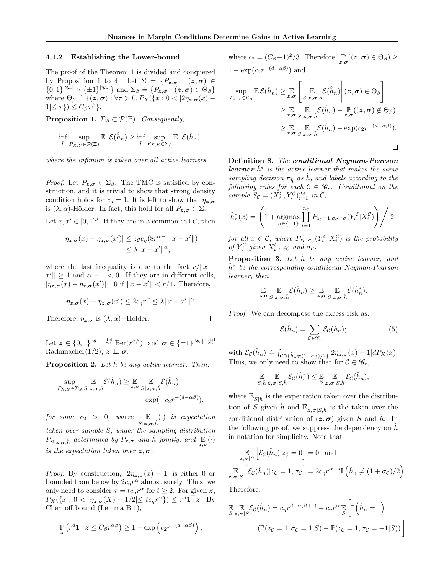## 4.1.2 Establishing the Lower-bound

The proof of the Theorem 1 is divided and conquered by Proposition 1 to 4. Let  $\Sigma = \{P_{\boldsymbol{z},\boldsymbol{\sigma}} : (\boldsymbol{z},\boldsymbol{\sigma}) \in$  $\{0,1\}^{|\mathscr{C}_r|} \times {\{\pm 1\}}^{|\mathscr{C}_r|}$  and  $\Sigma_\beta \doteq {\{P_{\bm{z},\bm{\sigma}} : (\bm{z},\bm{\sigma}) \in \Theta_\beta\}}$ where  $\Theta_{\beta} \doteq \{(z,\sigma): \forall \tau > 0, P_X(\{x: 0 < |2\eta_{z,\sigma}(x) 1|\leq \tau\}) \leq C_{\beta} \tau^{\beta}$ .

**Proposition 1.**  $\Sigma_{\beta} \subset \mathcal{P}(\Xi)$ . Consequently,

$$
\inf_{\hat{h}} \sup_{P_{X,Y} \in \mathcal{P}(\Xi)} \mathbb{E} \mathcal{E}(\hat{h}_n) \ge \inf_{\hat{h}} \sup_{P_{X,Y} \in \Sigma_{\beta}} \mathbb{E} \mathcal{E}(\hat{h}_n).
$$

where the infimum is taken over all active learners.

*Proof.* Let  $P_{\mathbf{z},\sigma} \in \Sigma_{\beta}$ . The TMC is satisfied by construction, and it is trivial to show that strong density condition holds for  $c_d = 1$ . It is left to show that  $\eta_{z,\sigma}$ is  $(\lambda, \alpha)$ -Hölder. In fact, this hold for all  $P_{\mathbf{z}, \sigma} \in \Sigma$ .

Let  $x, x' \in [0, 1]^d$ . If they are in a common cell C, then

$$
|\eta_{\mathbf{z},\sigma}(x) - \eta_{\mathbf{z},\sigma}(x')| \leq z_{\mathcal{C}}c_{\eta}(8r^{\alpha-1}||x - x'||)
$$
  
\$\leq \lambda ||x - x'||^{\alpha}\$,

where the last inequality is due to the fact  $r/||x$  $x' \leq 1$  and  $\alpha - 1 < 0$ . If they are in different cells,  $|\eta_{\mathbf{z},\sigma}(x) - \eta_{\mathbf{z},\sigma}(x')| = 0$  if  $||x - x'|| < r/4$ . Therefore,

$$
|\eta_{\mathbf{z},\sigma}(x) - \eta_{\mathbf{z},\sigma}(x')| \leq 2c_{\eta}r^{\alpha} \leq \lambda \|x - x'\|^{\alpha}.
$$

Therefore,  $\eta_{\mathbf{z},\sigma}$  is  $(\lambda,\alpha)$ –Hölder.

$$
\mathcal{L}^{\mathcal{L}}_{\mathcal{L}}
$$

Let  $\mathbf{z} \in \{0,1\}^{|\mathscr{C}_r|} \overset{\text{i.i.d}}{\sim} \text{Ber}(r^{\alpha\beta}), \text{ and } \sigma \in \{\pm 1\}^{|\mathscr{C}_r|} \overset{\text{i.i.d}}{\sim}$ Radamacher(1/2),  $z \perp \!\!\! \perp \sigma$ .

**Proposition 2.** Let  $\tilde{h}$  be any active learner. Then,

$$
\sup_{P_{X,Y}\in\Sigma_{\beta}}\mathop{\mathbb{E}}_{S|\mathbf{z},\sigma,\hat{h}}\mathcal{E}(\hat{h}_n)\geq \mathop{\mathbb{E}}_{\mathbf{z},\sigma}\mathop{\mathbb{E}}_{S|\mathbf{z},\sigma,\hat{h}}\mathcal{E}(\hat{h}_n)\n- \exp(-c_2r^{-(d-\alpha\beta)}),
$$

for some  $c_2 > 0$ , where  $\mathbb{E}_{S|z,\sigma,\hat{h}}(\cdot)$  is expectation taken over sample S, under the sampling distribution  $P_{S|z,\sigma,\hat{h}}$  determined by  $P_{z,\sigma}$  and  $\hat{h}$  jointly, and  $\mathbb{E}_{z,\sigma}(\cdot)$ is the expectation taken over  $z, \sigma$ .

*Proof.* By construction,  $|2\eta_{z,\sigma}(x)-1|$  is either 0 or bounded from below by  $2c_\eta r^\alpha$  almost surely. Thus, we only need to consider  $\tau = tc_\eta r^\alpha$  for  $t \geq 2$ . For given z,  $P_X({x: 0 < |\eta_{\mathbf{z},\sigma}(X) - 1/2| \leq t c_\eta r^\alpha}) \leq r^d \mathbf{1}^\top \mathbf{z}.$  By Chernoff bound (Lemma B.1),

$$
\mathbb{P}\left(r^d \mathbf{1}^\top \mathbf{z} \leq C_\beta r^{\alpha \beta}\right) \geq 1 - \exp\left(c_2 r^{-(d-\alpha\beta)}\right),
$$

where  $c_2 = (C_\beta - 1)^2/3$ . Therefore,  $\mathbb{P}_{z,\sigma}((z,\sigma) \in \Theta_\beta) \ge$  $1 - \exp(c_2 r^{-(d - \alpha \beta)})$  and

$$
\sup_{P_{\mathbf{z},\boldsymbol{\sigma}} \in \Sigma_{\beta}} \mathbb{E} \mathcal{E}(\hat{h}_n) \geq \mathop{\mathbb{E}}_{\mathbf{z},\boldsymbol{\sigma}} \left[ \mathop{\mathbb{E}}_{S|\mathbf{z},\boldsymbol{\sigma},\hat{h}} \mathcal{E}(\hat{h}_n) \middle| (\mathbf{z},\boldsymbol{\sigma}) \in \Theta_{\beta} \right]
$$
\n
$$
\geq \mathop{\mathbb{E}}_{\mathbf{z},\boldsymbol{\sigma}} \mathop{\mathbb{E}}_{S|\mathbf{z},\boldsymbol{\sigma},\hat{h}} \mathcal{E}(\hat{h}_n) - \mathop{\mathbb{P}}_{\mathbf{z},\boldsymbol{\sigma}} ((\mathbf{z},\boldsymbol{\sigma}) \notin \Theta_{\beta})
$$
\n
$$
\geq \mathop{\mathbb{E}}_{\mathbf{z},\boldsymbol{\sigma}} \mathop{\mathbb{E}}_{S|\mathbf{z},\boldsymbol{\sigma},\hat{h}} \mathcal{E}(\hat{h}_n) - \exp(c_2 r^{-(d-\alpha\beta)}).
$$

Definition 8. The conditional Neyman-Pearson **learner**  $\hat{h}^*$  is the active learner that makes the same sampling decision  $\pi_{\hat{h}}$  as h, and labels according to the following rules for each  $C \in \mathscr{C}_r$ . Conditional on the sample  $S_{\mathcal{C}} = (X_i^{\mathcal{C}}, Y_i^{\mathcal{C}})_{i=1}^{n_{\mathcal{C}}}$  in  $\mathcal{C}$ ,

$$
\hat{h}_n^*(x) = \left(1 + \underset{\sigma \in \{\pm 1\}}{\operatorname{argmax}} \prod_{i=1}^{n_{\mathcal{C}}} P_{z_{\mathcal{C}}=1, \sigma_{\mathcal{C}}=\sigma}(Y_i^{\mathcal{C}} | X_i^{\mathcal{C}})\right) / 2,
$$

for all  $x \in \mathcal{C}$ , where  $P_{zc,\sigma_C}(Y_i^{\mathcal{C}}|X_i^{\mathcal{C}})$  is the probability of  $Y_i^{\mathcal{C}}$  given  $X_i^{\mathcal{C}}$ ,  $z_{\mathcal{C}}$  and  $\sigma_{\mathcal{C}}$ .

**Proposition 3.** Let  $\hat{h}$  be any active learner, and  $\hat{h}^*$  be the corresponding conditional Neyman-Pearson learner, then

$$
\mathop{\mathbb{E}}_{\boldsymbol{z},\boldsymbol{\sigma}} \mathop{\mathbb{E}}_{S|\boldsymbol{z},\boldsymbol{\sigma},\hat{h}} \mathcal{E}(\hat{h}_n) \geq \mathop{\mathbb{E}}_{\boldsymbol{z},\boldsymbol{\sigma}} \mathop{\mathbb{E}}_{S|\boldsymbol{z},\boldsymbol{\sigma},\hat{h}} \mathcal{E}(\hat{h}_n^*).
$$

*Proof.* We can decompose the excess risk as:

$$
\mathcal{E}(\hat{h}_n) = \sum_{\mathcal{C} \in \mathcal{C}_r} \mathcal{E}_{\mathcal{C}}(\hat{h}_n); \tag{5}
$$

with  $\mathcal{E}_{\mathcal{C}}(\hat{h}_n) \doteq \int_{\mathcal{C} \cap \{\hat{h}_n \neq (1+\sigma_{\mathcal{C}})/2\}} |2\eta_{\mathbf{z},\sigma}(x) - 1| dP_X(x).$ Thus, we only need to show that for  $C \in \mathscr{C}_r$ ,

$$
\mathbb{E}_{S|\hat{h} \mathbf{z}, \sigma|S, \hat{h}} \mathcal{E}_{\mathcal{C}}(\hat{h}_n^*) \leq \mathbb{E}_{S \mathbf{z}, \sigma|S, \hat{h}} \mathcal{E}_{\mathcal{C}}(\hat{h}_n),
$$

where  $\mathbb{E}_{S|\hat{h}}$  is the expectation taken over the distribution of S given h and  $\mathbb{E}_{z,\sigma|S,\hat{h}}$  is the taken over the conditional distribution of  $(z, \sigma)$  given S and  $\hat{h}$ . In the following proof, we suppress the dependency on  $\tilde{h}$ in notation for simplicity. Note that

$$
\mathbb{E}_{z,\sigma|S} \left[ \mathcal{E}_C(\hat{h}_n) | z_{\mathcal{C}} = 0 \right] = 0; \text{ and}
$$

$$
\mathbb{E}_{z,\sigma|S} \left[ \mathcal{E}_C(\hat{h}_n) | z_{\mathcal{C}} = 1, \sigma_{\mathcal{C}} \right] = 2c_\eta r^{\alpha + d} \mathbb{I} \left( \hat{h}_n \neq (1 + \sigma_{\mathcal{C}})/2 \right)
$$

.

Therefore,

$$
\mathbb{E} \underset{S}{\mathbb{E}} \mathbb{E} \mathcal{E}_{\mathcal{C}}(\hat{h}_n) = c_{\eta} r^{d + \alpha(\beta + 1)} - c_{\eta} r^{\alpha} \mathbb{E} \left[ \mathbb{I} \left( \hat{h}_n = 1 \right) \right]
$$
\n
$$
(\mathbb{P}(z_C = 1, \sigma_C = 1 | S) - \mathbb{P}(z_C = 1, \sigma_C = -1 | S)) \bigg]
$$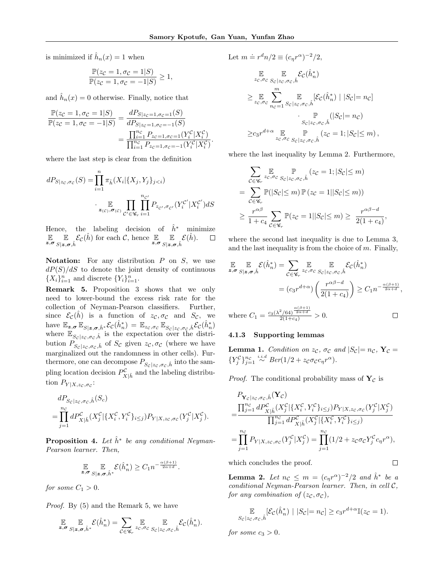is minimized if  $\hat{h}_n(x) = 1$  when

$$
\frac{\mathbb{P}(z_{\mathcal{C}}=1, \sigma_{\mathcal{C}}=1|S)}{\mathbb{P}(z_{\mathcal{C}}=1, \sigma_{\mathcal{C}}=-1|S)} \ge 1,
$$

and  $\hat{h}_n(x) = 0$  otherwise. Finally, notice that

$$
\frac{\mathbb{P}(z_{\mathcal{C}} = 1, \sigma_{\mathcal{C}} = 1|S)}{\mathbb{P}(z_{\mathcal{C}} = 1, \sigma_{\mathcal{C}} = -1|S)} = \frac{dP_{S|z_{\mathcal{C}}=1, \sigma_{\mathcal{C}}=1}(S)}{dP_{S|z_{\mathcal{C}}=1, \sigma_{\mathcal{C}}=1}(S)} = \frac{\prod_{i=1}^{nc} P_{z_{\mathcal{C}}=1, \sigma_{\mathcal{C}}=1}(Y_i^{\mathcal{C}}|X_i^{\mathcal{C}})}{\prod_{i=1}^{nc} P_{z_{\mathcal{C}}=1, \sigma_{\mathcal{C}}=1}(Y_i^{\mathcal{C}}|X_i^{\mathcal{C}})}.
$$

where the last step is clear from the definition

$$
dP_{S|z_c, \sigma_c}(S) = \prod_{i=1}^n \pi_{\hat{h}}(X_i | \{X_j, Y_j\}_{j
$$
\cdot \prod_{z_{(c)}, \sigma_{(c)}} \prod_{\mathcal{C}' \in \mathcal{C}_r} \prod_{i=1}^{n_{c'}} P_{z_{c'}, \sigma_{c'}}(Y_i^{c'} | X_i^{c'}) dS
$$
$$

Hence, the labeling decision of  $\hat{h}^*$  minimize  $E$   $E$   $Z, \sigma$   $S$   $Z$  $\mathbb{E}_{S|z,\sigma,\hat{h}} \mathcal{E}_{\mathcal{C}}(\hat{h})$  for each  $\mathcal{C}$ , hence  $\mathbb{E}_{z,\sigma} \mathbb{E}_{S|z,\sigma}$  $\mathbb{E}_{S|\boldsymbol{\boldsymbol{z}},\boldsymbol{\sigma},\hat{h}} \mathcal{E}(\hat{h}).$  $\Box$ 

Notation: For any distribution  $P$  on  $S$ , we use  $dP(S)/dS$  to denote the joint density of continuous  ${X_i}_{i=1}^n$  and discrete  ${Y_i}_{i=1}^n$ .

Remark 5. Proposition 3 shows that we only need to lower-bound the excess risk rate for the collection of Neyman-Pearson classifiers. Further, since  $\mathcal{E}_{\mathcal{C}}(\tilde{h})$  is a function of  $z_{\mathcal{C}}, \sigma_{\mathcal{C}}$  and  $S_{\mathcal{C}},$  we have  $\mathbb{E}_{\boldsymbol{z},\boldsymbol{\sigma}} \mathbb{E}_{S|\boldsymbol{z},\boldsymbol{\sigma},\hat{h}^*} \mathcal{E}_{\mathcal{C}}(\hat{h}_n^*) = \mathbb{E}_{zc,\sigma_{\mathcal{C}}} \mathbb{E}_{S_{\mathcal{C}}|z_{\mathcal{C}},\sigma_{\mathcal{C}},\hat{h}} \mathcal{E}_{\mathcal{C}}(\hat{h}_n^*)$ where  $\mathbb{E}_{S_c|z_c,\sigma_c,\hat{h}}$  is the expectation over the distribution  $P_{S_c|z_c,\sigma_c,\hat{h}}^{z_c,z_c,\sigma_c,\hat{h}}$  of  $S_c$  given  $z_c,\sigma_c$  (where we have marginalized out the randomness in other cells). Furthermore, one can decompose  $P_{S_{\mathcal{C}}|z_{\mathcal{C}},\sigma_{\mathcal{C}},\hat{h}}$  into the sampling location decision  $P^{\mathcal{C}}_{X|\hat{h}}$  and the labeling distribution  $P_{Y|X,z_{\mathcal{C}},\sigma_{\mathcal{C}}}$ :

$$
dP_{Sc|zc,\sigma_c,\hat{h}}(S_c)
$$
  
= 
$$
\prod_{j=1}^{n_c} dP_{X|\hat{h}}^{\mathcal{C}}(X_j^{\mathcal{C}}|\{X_i^{\mathcal{C}}, Y_i^{\mathcal{C}}\}_{i\leq j}) P_{Y|X,z_c,\sigma_c}(Y_j^{\mathcal{C}}|X_j^{\mathcal{C}}).
$$

**Proposition 4.** Let  $\hat{h}^*$  be any conditional Neyman-Pearson learner. Then,

$$
\mathbb{E}_{\boldsymbol{z},\boldsymbol{\sigma}} \mathbb{E}_{\boldsymbol{z}|\boldsymbol{z},\boldsymbol{\sigma},\hat{h}^*} \mathcal{E}(\hat{h}_n^*) \geq C_1 n^{-\frac{\alpha(\beta+1)}{2\alpha+d}}.
$$

for some  $C_1 > 0$ .

Proof. By (5) and the Remark 5, we have

$$
\mathbb{E}_{\mathbf{z},\sigma} \mathbb{E}_{S|\mathbf{z},\sigma,\hat{h}^*} \mathcal{E}(\hat{h}^*_n) = \sum_{\mathcal{C} \in \mathscr{C}_r} \mathbb{E}_{z_{\mathcal{C}},\sigma_{\mathcal{C}}} \mathbb{E}_{S_{\mathcal{C}}|z_{\mathcal{C}},\sigma_{\mathcal{C}},\hat{h}} \mathcal{E}_{\mathcal{C}}(\hat{h}^*_n).
$$

Let 
$$
m = r^d n/2 \equiv (c_{\eta} r^{\alpha})^{-2}/2
$$
,  
\n
$$
\mathbb{E}_{z \in \sigma c} \mathbb{E}_{S_c | z_c, \sigma c, \hat{h}} \mathcal{E}_c(\hat{h}_n^*)
$$
\n
$$
\geq \mathbb{E}_{z_c, \sigma c} \sum_{n_c=1}^m \mathbb{E}_{S_c | z_c, \sigma c, \hat{h}} \mathcal{E}_c(\hat{h}_n^*) | |S_c| = n_c]
$$
\n
$$
\cdot \mathbb{E}_{S_c | z_c, \sigma c, \hat{h}} \mathbb{E}_{S_c | z_c, \sigma c, \hat{h}} (|S_c| = n_c)
$$
\n
$$
\geq c_3 r^{d+\alpha} \mathbb{E}_{z_c, \sigma c} \mathbb{E}_{S_c | z_c, \sigma c, \hat{h}} (z_c = 1; |S_c| \leq m),
$$

where the last inequality by Lemma 2. Furthermore,

$$
\sum_{\mathcal{C}\in\mathscr{C}_r} \mathbb{E}_{z\in\mathcal{F}_c} \mathbb{P}_{z\in\mathcal{C},\sigma_c,\hat{h}}(z_{\mathcal{C}}=1; |S_{\mathcal{C}}| \le m)
$$
\n
$$
= \sum_{\mathcal{C}\in\mathscr{C}_r} \mathbb{P}(|S_{\mathcal{C}}| \le m) \mathbb{P}(z_{\mathcal{C}}=1| |S_{\mathcal{C}}| \le m))
$$
\n
$$
\ge \frac{r^{\alpha\beta}}{1+c_4} \sum_{\mathcal{C}\in\mathscr{C}_r} \mathbb{P}(z_{\mathcal{C}}=1| |S_{\mathcal{C}}| \le m) \ge \frac{r^{\alpha\beta-d}}{2(1+c_4)},
$$

where the second last inequality is due to Lemma 3, and the last inequality is from the choice of  $m$ . Finally,

$$
\mathbb{E} \mathbb{E} \mathbb{E} \mathcal{E}(\hat{h}_n^*) = \sum_{\mathcal{C} \in \mathscr{C}_r} \mathbb{E} \mathbb{E} \mathcal{E}_{\mathcal{C}(\hat{h}_n^*)}
$$

$$
= (c_3 r^{d+\alpha}) \left( \frac{r^{\alpha\beta-d}}{2(1+c_4)} \right) \ge C_1 n^{-\frac{\alpha(\beta+1)}{2\alpha+d}},
$$

where 
$$
C_1 = \frac{c_3(\lambda^2/64)^{\frac{\alpha(\beta+1)}{2\alpha+d}}}{2(1+c_4)} > 0.
$$

## 4.1.3 Supporting lemmas

**Lemma 1.** Condition on  $z_c$ ,  $\sigma_c$  and  $|S_c|=n_c$ ,  $\mathbf{Y}_c=$  ${Y_j^{\mathcal{C}}}\}_{j=1}^{n_{\mathcal{C}}} \stackrel{i.i.d}{\sim} Ber(1/2 + z_{\mathcal{C}}\sigma_{\mathcal{C}}c_{\eta}r^{\alpha}).$ 

*Proof.* The conditional probability mass of  $Y_c$  is

$$
P_{\mathbf{Y}_{\mathcal{C}}|z_{\mathcal{C}},\sigma_{\mathcal{C}},\hat{h}}(\mathbf{Y}_{\mathcal{C}})
$$
\n
$$
= \frac{\prod_{j=1}^{n_c} dP_{X|\hat{h}}^c(X_j^c|\{X_i^c, Y_i^c\}_{i\leq j}) P_{Y|X,z_{\mathcal{C}},\sigma_{\mathcal{C}}}(Y_j^c|X_j^c)}{\prod_{j=1}^{n_c} dP_{X|\hat{h}}^c(X_j^c|\{X_i^c, Y_i^c\}_{i\leq j})}
$$
\n
$$
= \prod_{j=1}^{n_c} P_{Y|X,z_{\mathcal{C}},\sigma_{\mathcal{C}}}(Y_j^c|X_j^c) = \prod_{j=1}^{n_c} (1/2 + z_{\mathcal{C}}\sigma_{\mathcal{C}}Y_j^c c_{\eta}r^{\alpha}),
$$

which concludes the proof.

**Lemma 2.** Let  $n_c \leq m = (c_\eta r^\alpha)^{-2}/2$  and  $\hat{h}^*$  be a conditional Neyman-Pearson learner. Then, in cell C, for any combination of  $(z_{\mathcal{C}}, \sigma_{\mathcal{C}})$ ,

 $\Box$ 

$$
\mathbb{E}_{S_{\mathcal{C}}|z_{\mathcal{C}},\sigma_{\mathcal{C}},\hat{h}}[\mathcal{E}_{\mathcal{C}}(\hat{h}_n^*) \mid |S_{\mathcal{C}}|=n_{\mathcal{C}}] \ge c_3 r^{d+\alpha} \mathbb{I}(z_{\mathcal{C}}=1).
$$

for some  $c_3 > 0$ .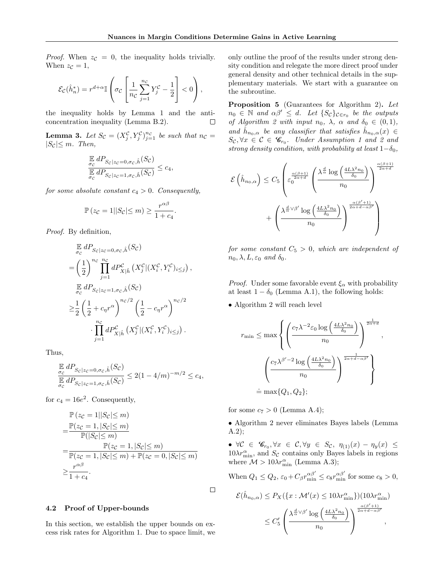*Proof.* When  $z_c = 0$ , the inequality holds trivially. When  $z_{\mathcal{C}} = 1$ ,

$$
\mathcal{E}_{\mathcal{C}}(\hat{h}_n^*) = r^{d+\alpha} \mathbb{I}\left(\sigma_{\mathcal{C}}\left[\frac{1}{n_{\mathcal{C}}}\sum_{j=1}^{n_{\mathcal{C}}}Y_j^{\mathcal{C}} - \frac{1}{2}\right] < 0\right),
$$

the inequality holds by Lemma 1 and the anticoncentration inequality (Lemma B.2).  $\Box$ 

**Lemma 3.** Let  $S_{\mathcal{C}} = (X_j^{\mathcal{C}}, Y_j^{\mathcal{C}})_{j=1}^{n_{\mathcal{C}}}$  be such that  $n_{\mathcal{C}} =$  $|S_{\mathcal{C}}| \leq m$ . Then,

$$
\frac{\mathbb{E}}{\frac{\sigma_c}{\sigma_c}} \frac{dP_{S_c|z_c=0,\sigma_c,\hat{h}}(S_c)}{\mathbb{E}} \frac{dP_{S_c|z_c=1,\sigma_c,\hat{h}}(S_c)} \leq c_4,
$$

for some absolute constant  $c_4 > 0$ . Consequently,

$$
\mathbb{P}(z_{\mathcal{C}}=1||S_{\mathcal{C}}|\leq m)\geq \frac{r^{\alpha\beta}}{1+c_4}.
$$

Proof. By definition,

$$
\mathbb{E}_{\sigma_c} dP_{Sc|zc=0,\sigma_c,\hat{h}}(S_c)
$$
\n
$$
= \left(\frac{1}{2}\right)^{n_c} \prod_{j=1}^{n_c} dP_{X|\hat{h}}^c \left(X_j^c | (X_i^c, Y_i^c)_{i \le j}\right),
$$
\n
$$
\mathbb{E}_{\sigma_c} dP_{Sc|zc=1,\sigma_c,\hat{h}}(S_c)
$$
\n
$$
\ge \frac{1}{2} \left(\frac{1}{2} + c_\eta r^\alpha\right)^{n_c/2} \left(\frac{1}{2} - c_\eta r^\alpha\right)^{n_c/2}
$$
\n
$$
\cdot \prod_{j=1}^{n_c} dP_{X|\hat{h}}^c \left(X_j^c | (X_i^c, Y_i^c)_{i \le j}\right).
$$

Thus,

$$
\frac{\mathbb{E} \, dP_{S_c|z_c=0,\sigma_c,\hat{h}}(S_c)}{\mathbb{E} \, dP_{S_c|z_c=1,\sigma_c,\hat{h}}(S_c)} \le 2(1-4/m)^{-m/2} \le c_4,
$$

for  $c_4 = 16e^2$ . Consequently,

$$
\mathbb{P}(z_{\mathcal{C}} = 1||S_{\mathcal{C}}| \leq m)
$$
\n
$$
= \frac{\mathbb{P}(z_{\mathcal{C}} = 1, |S_{\mathcal{C}}| \leq m)}{\mathbb{P}(|S_{\mathcal{C}}| \leq m)}
$$
\n
$$
= \frac{\mathbb{P}(z_{\mathcal{C}} = 1, |S_{\mathcal{C}}| \leq m)}{\mathbb{P}(z_{\mathcal{C}} = 1, |S_{\mathcal{C}}| \leq m) + \mathbb{P}(z_{\mathcal{C}} = 0, |S_{\mathcal{C}}| \leq m)}
$$
\n
$$
\geq \frac{r^{\alpha\beta}}{1 + c_4}.
$$

#### 4.2 Proof of Upper-bounds

In this section, we establish the upper bounds on excess risk rates for Algorithm 1. Due to space limit, we only outline the proof of the results under strong density condition and relegate the more direct proof under general density and other technical details in the supplementary materials. We start with a guarantee on the subroutine.

Proposition 5 (Guarantees for Algorithm 2). Let  $n_0 \in \mathbb{N}$  and  $\alpha \beta' \leq d$ . Let  $\{S_{\mathcal{C}}\}_{\mathcal{C} \in r_0}$  be the outputs of Algorithm 2 with input  $n_0$ ,  $\lambda$ ,  $\alpha$  and  $\delta_0 \in (0,1)$ , and  $\hat{h}_{n_0,\alpha}$  be any classifier that satisfies  $\hat{h}_{n_0,\alpha}(x) \in$  $S_{\mathcal{C}}, \forall x \in \mathcal{C} \in \mathscr{C}_{r_0}$ . Under Assumption 1 and 2 and strong density condition, with probability at least  $1-\delta_0$ ,

$$
\mathcal{E}\left(\hat{h}_{n_0,\alpha}\right) \leq C_5 \left(\varepsilon_0^{\frac{\alpha(\beta+1)}{2\alpha+d}} \left(\frac{\lambda^{\frac{d}{\alpha}}\log\left(\frac{4L\lambda^2 n_0}{\delta_0}\right)}{n_0}\right)^{\frac{\alpha(\beta+1)}{2\alpha+d}} + \left(\frac{\lambda^{\frac{d}{\alpha}\sqrt{\beta'}}\log\left(\frac{4L\lambda^2 n_0}{\delta_0}\right)}{n_0}\right)^{\frac{\alpha(\beta'+1)}{2\alpha+d-\alpha\beta'}}
$$

for some constant  $C_5 > 0$ , which are independent of  $n_0, \lambda, L, \varepsilon_0$  and  $\delta_0$ .

*Proof.* Under some favorable event  $\xi_{\alpha}$  with probability at least  $1 - \delta_0$  (Lemma A.1), the following holds:

• Algorithm 2 will reach level

$$
r_{\min} \leq \max \left\{ \left( \frac{c_7 \lambda^{-2} \varepsilon_0 \log \left( \frac{4L\lambda^2 n_0}{\delta_0} \right)}{n_0} \right)^{\frac{1}{2\alpha + d}}, \right\}
$$

$$
\left( \frac{c_7 \lambda^{\beta'-2} \log \left( \frac{4L\lambda^2 n_0}{\delta_0} \right)}{n_0} \right)^{\frac{1}{2\alpha + d - \alpha \beta'}},
$$

$$
\doteq \max \{Q_1, Q_2\};
$$

for some  $c_7 > 0$  (Lemma A.4);

 $\Box$ 

• Algorithm 2 never eliminates Bayes labels (Lemma A.2);

•  $\forall \mathcal{C} \in \mathscr{C}_{r_0}, \forall x \in \mathcal{C}, \forall y \in S_{\mathcal{C}}, \eta_{(1)}(x) - \eta_y(x) \leq$  $10\lambda r_{\min}^{\alpha}$ , and  $S_{\mathcal{C}}$  contains only Bayes labels in regions where  $\mathcal{M} > 10 \lambda r_{\min}^{\alpha}$  (Lemma A.3);

When  $Q_1 \leq Q_2$ ,  $\varepsilon_0 + C_\beta r_{\min}^{\alpha\beta'} \leq c_8 r_{\min}^{\alpha\beta'}$  for some  $c_8 > 0$ ,

$$
\mathcal{E}(\hat{h}_{n_0,\alpha}) \le P_X(\lbrace x : \mathcal{M}'(x) \le 10\lambda r_{\min}^{\alpha}\rbrace)(10\lambda r_{\min}^{\alpha})
$$

$$
\le C_5' \left(\frac{\lambda^{\frac{d}{\alpha}\vee\beta'}\log\left(\frac{4L\lambda^2 n_0}{\delta_0}\right)}{n_0}\right)^{\frac{\alpha(\beta'+1)}{2\alpha+d-\alpha\beta'}},
$$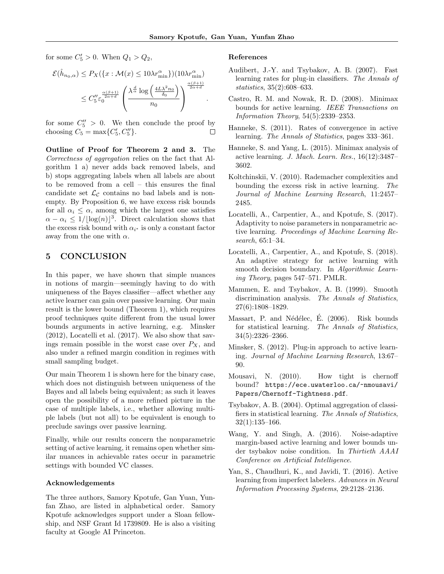for some  $C'_5 > 0$ . When  $Q_1 > Q_2$ ,

$$
\mathcal{E}(\hat{h}_{n_0,\alpha}) \le P_X(\lbrace x : \mathcal{M}(x) \le 10\lambda r_{\min}^{\alpha} \rbrace)(10\lambda r_{\min}^{\alpha})
$$

$$
\le C_5'' \varepsilon_0^{\frac{\alpha(\beta+1)}{2\alpha+d}} \left( \frac{\lambda^{\frac{d}{\alpha}} \log \left( \frac{4L\lambda^2 n_0}{\delta_0} \right)}{n_0} \right)^{\frac{\alpha(\beta+1)}{2\alpha+d}}.
$$

for some  $C_5'' > 0$ . We then conclude the proof by choosing  $C_5 = \max\{C'_5, C''_5\}.$  $\Box$ 

Outline of Proof for Theorem 2 and 3. The Correctness of aggregation relies on the fact that Algorithm 1 a) never adds back removed labels, and b) stops aggregating labels when all labels are about to be removed from a cell – this ensures the final candidate set  $\mathcal{L}_{\mathcal{C}}$  contains no bad labels and is nonempty. By Proposition 6, we have excess risk bounds for all  $\alpha_i \leq \alpha$ , among which the largest one satisfies  $\alpha - \alpha_i \leq 1/\lfloor \log(n) \rfloor^3$ . Direct calculation shows that the excess risk bound with  $\alpha_{i^*}$  is only a constant factor away from the one with  $\alpha$ .

# 5 CONCLUSION

In this paper, we have shown that simple nuances in notions of margin—seemingly having to do with uniqueness of the Bayes classifier—affect whether any active learner can gain over passive learning. Our main result is the lower bound (Theorem 1), which requires proof techniques quite different from the usual lower bounds arguments in active learning, e.g. Minsker (2012), Locatelli et al. (2017). We also show that savings remain possible in the worst case over  $P_X$ , and also under a refined margin condition in regimes with small sampling budget.

Our main Theorem 1 is shown here for the binary case, which does not distinguish between uniqueness of the Bayes and all labels being equivalent; as such it leaves open the possibility of a more refined picture in the case of multiple labels, i.e., whether allowing multiple labels (but not all) to be equivalent is enough to preclude savings over passive learning.

Finally, while our results concern the nonparametric setting of active learning, it remains open whether similar nuances in achievable rates occur in parametric settings with bounded VC classes.

### Acknowledgements

The three authors, Samory Kpotufe, Gan Yuan, Yunfan Zhao, are listed in alphabetical order. Samory Kpotufe acknowledges support under a Sloan fellowship, and NSF Grant Id 1739809. He is also a visiting faculty at Google AI Princeton.

#### References

- Audibert, J.-Y. and Tsybakov, A. B. (2007). Fast learning rates for plug-in classifiers. The Annals of statistics, 35(2):608–633.
- Castro, R. M. and Nowak, R. D. (2008). Minimax bounds for active learning. IEEE Transactions on Information Theory, 54(5):2339–2353.
- Hanneke, S. (2011). Rates of convergence in active learning. The Annals of Statistics, pages 333–361.
- Hanneke, S. and Yang, L. (2015). Minimax analysis of active learning. J. Mach. Learn. Res., 16(12):3487– 3602.
- Koltchinskii, V. (2010). Rademacher complexities and bounding the excess risk in active learning. The Journal of Machine Learning Research, 11:2457– 2485.
- Locatelli, A., Carpentier, A., and Kpotufe, S. (2017). Adaptivity to noise parameters in nonparametric active learning. Proceedings of Machine Learning Research, 65:1–34.
- Locatelli, A., Carpentier, A., and Kpotufe, S. (2018). An adaptive strategy for active learning with smooth decision boundary. In Algorithmic Learning Theory, pages 547–571. PMLR.
- Mammen, E. and Tsybakov, A. B. (1999). Smooth discrimination analysis. The Annals of Statistics, 27(6):1808–1829.
- Massart, P. and Nédélec, É. (2006). Risk bounds for statistical learning. The Annals of Statistics, 34(5):2326–2366.
- Minsker, S. (2012). Plug-in approach to active learning. Journal of Machine Learning Research, 13:67– 90.
- Mousavi, N. (2010). How tight is chernoff bound? https://ece.uwaterloo.ca/~nmousavi/ Papers/Chernoff-Tightness.pdf.
- Tsybakov, A. B. (2004). Optimal aggregation of classifiers in statistical learning. The Annals of Statistics, 32(1):135–166.
- Wang, Y. and Singh, A. (2016). Noise-adaptive margin-based active learning and lower bounds under tsybakov noise condition. In Thirtieth AAAI Conference on Artificial Intelligence.
- Yan, S., Chaudhuri, K., and Javidi, T. (2016). Active learning from imperfect labelers. Advances in Neural Information Processing Systems, 29:2128–2136.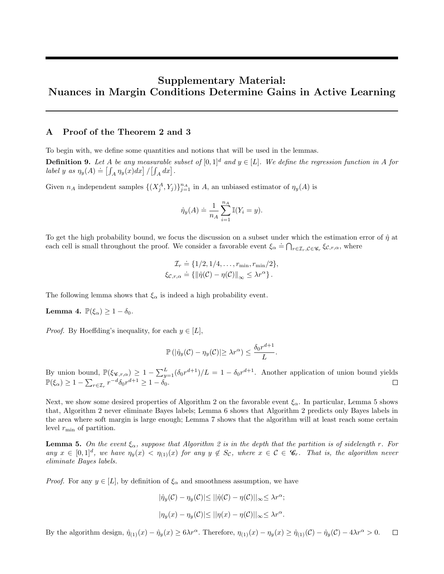# Supplementary Material: Nuances in Margin Conditions Determine Gains in Active Learning

# A Proof of the Theorem 2 and 3

To begin with, we define some quantities and notions that will be used in the lemmas.

**Definition 9.** Let A be any measurable subset of  $[0, 1]^d$  and  $y \in [L]$ . We define the regression function in A for **Definition 5:** Let 11 be any measurable to  $l$ <br>label y as  $\eta_y(A) \doteq \left[ \int_A \eta_y(x) dx \right] / \left[ \int_A dx \right]$ .

Given  $n_A$  independent samples  $\{(X_j^A, Y_j)\}_{j=1}^{n_A}$  in A, an unbiased estimator of  $\eta_y(A)$  is

$$
\hat{\eta}_y(A) \doteq \frac{1}{n_A} \sum_{i=1}^{n_A} \mathbb{I}(Y_i = y).
$$

To get the high probability bound, we focus the discussion on a subset under which the estimation error of  $\hat{\eta}$  at to get the high probability bound, we locall the discussion on a subset under which the confliction can<br>each cell is small throughout the proof. We consider a favorable event  $\xi_{\alpha} = \bigcap_{r \in \mathcal{I}_r, C \in \mathscr{C}_r} \xi_{\mathcal{C},r,\$ 

$$
\mathcal{I}_r \doteq \{1/2, 1/4, \dots, r_{\min}, r_{\min}/2\},
$$
  

$$
\xi_{\mathcal{C},r,\alpha} \doteq \{ \|\hat{\eta}(\mathcal{C}) - \eta(\mathcal{C})\|_{\infty} \leq \lambda r^{\alpha} \}.
$$

The following lemma shows that  $\xi_{\alpha}$  is indeed a high probability event.

**Lemma 4.**  $\mathbb{P}(\xi_{\alpha}) \geq 1 - \delta_0$ .

*Proof.* By Hoeffding's inequality, for each  $y \in [L]$ ,

$$
\mathbb{P}(|\hat{\eta}_y(\mathcal{C}) - \eta_y(\mathcal{C})| \ge \lambda r^{\alpha}) \le \frac{\delta_0 r^{d+1}}{L}.
$$

By union bound,  $\mathbb{P}(\xi_{\mathscr{C},r,\alpha}) \geq 1 - \sum_{y=1}^{L} (\delta_0 r^{d+1})/L = 1 - \delta_0 r^{d+1}$ . Another application of union bound yields  $\mathbb{P}(\xi_{\alpha}) \geq 1 - \sum_{r \in \mathcal{I}_r} r^{-d} \delta_0 r^{d+1} \geq 1 - \delta_0.$ 

Next, we show some desired properties of Algorithm 2 on the favorable event  $\xi_{\alpha}$ . In particular, Lemma 5 shows that, Algorithm 2 never eliminate Bayes labels; Lemma 6 shows that Algorithm 2 predicts only Bayes labels in the area where soft margin is large enough; Lemma 7 shows that the algorithm will at least reach some certain level  $r_{\min}$  of partition.

**Lemma 5.** On the event  $\xi_{\alpha}$ , suppose that Algorithm 2 is in the depth that the partition is of sidelength r. For any  $x \in [0,1]^d$ , we have  $\eta_y(x) < \eta_{(1)}(x)$  for any  $y \notin S_c$ , where  $x \in \mathcal{C} \in \mathscr{C}_r$ . That is, the algorithm never eliminate Bayes labels.

*Proof.* For any  $y \in [L]$ , by definition of  $\xi_{\alpha}$  and smoothness assumption, we have

$$
|\hat{\eta}_y(\mathcal{C}) - \eta_y(\mathcal{C})| \le ||\hat{\eta}(\mathcal{C}) - \eta(\mathcal{C})||_{\infty} \le \lambda r^{\alpha};
$$
  

$$
|\eta_y(x) - \eta_y(\mathcal{C})| \le ||\eta(x) - \eta(\mathcal{C})||_{\infty} \le \lambda r^{\alpha}.
$$

By the algorithm design,  $\hat{\eta}_{(1)}(x) - \hat{\eta}_y(x) \ge 6\lambda r^{\alpha}$ . Therefore,  $\eta_{(1)}(x) - \eta_y(x) \ge \hat{\eta}_{(1)}(\mathcal{C}) - \hat{\eta}_y(\mathcal{C}) - 4\lambda r^{\alpha} > 0$ .  $\Box$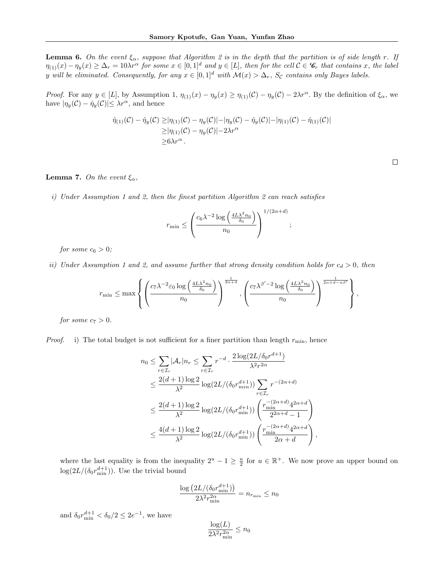**Lemma 6.** On the event  $\xi_{\alpha}$ , suppose that Algorithm 2 is in the depth that the partition is of side length r. If  $\eta_{(1)}(x) - \eta_y(x) \geq \Delta_r = 10\lambda r^{\alpha}$  for some  $x \in [0,1]^d$  and  $y \in [L]$ , then for the cell  $\mathcal{C} \in \mathscr{C}_r$  that contains x, the label y will be eliminated. Consequently, for any  $x \in [0,1]^d$  with  $\mathcal{M}(x) > \Delta_r$ , S<sub>C</sub> contains only Bayes labels.

*Proof.* For any  $y \in [L]$ , by Assumption 1,  $\eta_{(1)}(x) - \eta_y(x) \geq \eta_{(1)}(\mathcal{C}) - \eta_y(\mathcal{C}) - 2\lambda r^{\alpha}$ . By the definition of  $\xi_{\alpha}$ , we have  $|\eta_y(\mathcal{C}) - \hat{\eta}_y(\mathcal{C})| \leq \lambda r^{\alpha}$ , and hence

$$
\hat{\eta}_{(1)}(\mathcal{C}) - \hat{\eta}_{y}(\mathcal{C}) \geq |\eta_{(1)}(\mathcal{C}) - \eta_{y}(\mathcal{C})| - |\eta_{y}(\mathcal{C}) - \hat{\eta}_{y}(\mathcal{C})| - |\eta_{(1)}(\mathcal{C}) - \hat{\eta}_{(1)}(\mathcal{C})| \n\geq |\eta_{(1)}(\mathcal{C}) - \eta_{y}(\mathcal{C})| - 2\lambda r^{\alpha} \n\geq 6\lambda r^{\alpha}.
$$

#### **Lemma 7.** On the event  $\xi_{\alpha}$ ,

i) Under Assumption 1 and 2, then the finest partition Algorithm 2 can reach satisfies

$$
r_{\min} \leq \left(\frac{c_6 \lambda^{-2} \log\left(\frac{4L\lambda^2 n_0}{\delta_0}\right)}{n_0}\right)^{1/(2\alpha+d)};
$$

for some  $c_6 > 0$ ;

ii) Under Assumption 1 and 2, and assume further that strong density condition holds for  $c_d > 0$ , then

$$
r_{\min} \leq \max \left\{ \left( \frac{c_7 \lambda^{-2} \varepsilon_0 \log \left( \frac{4L \lambda^2 n_0}{\delta_0} \right)}{n_0} \right)^{\frac{1}{2\alpha+d}}, \left( \frac{c_7 \lambda^{\beta'-2} \log \left( \frac{4L \lambda^2 n_0}{\delta_0} \right)}{n_0} \right)^{\frac{1}{2\alpha+d-\alpha\beta'}} \right\},\,
$$

for some  $c_7 > 0$ .

*Proof.* i) The total budget is not sufficient for a finer partition than length  $r_{\min}$ , hence

$$
n_0 \leq \sum_{r \in \mathcal{I}_r} |\mathcal{A}_r| n_r \leq \sum_{r \in \mathcal{I}_r} r^{-d} \cdot \frac{2 \log(2L/\delta_0 r^{d+1})}{\lambda^2 r^{2\alpha}}
$$
  
\n
$$
\leq \frac{2(d+1) \log 2}{\lambda^2} \log(2L/(\delta_0 r_{min}^{d+1})) \sum_{r \in \mathcal{I}_r} r^{-(2\alpha+d)}
$$
  
\n
$$
\leq \frac{2(d+1) \log 2}{\lambda^2} \log(2L/(\delta_0 r_{\min}^{d+1})) \left(\frac{r_{\min}^{-(2\alpha+d)} 4^{2\alpha+d}}{2^{2\alpha+d} - 1}\right)
$$
  
\n
$$
\leq \frac{4(d+1) \log 2}{\lambda^2} \log(2L/(\delta_0 r_{\min}^{d+1})) \left(\frac{r_{\min}^{-(2\alpha+d)} 4^{2\alpha+d}}{2\alpha+d}\right),
$$

where the last equality is from the inequality  $2^u - 1 \ge \frac{u}{2}$  for  $u \in \mathbb{R}^+$ . We now prove an upper bound on  $\log(2L/(\delta_0 r_{\min}^{d+1}))$ . Use the trivial bound

$$
\frac{\log \left(2L/(\delta_0 r_{\min}^{d+1})\right)}{2\lambda^2 r_{\min}^{2\alpha}} = n_{r_{\min}} \leq n_0
$$

and  $\delta_0 r_{\min}^{d+1} < \delta_0/2 \leq 2e^{-1}$ , we have

$$
\frac{\log(L)}{2\lambda^2 r_{\min}^{2\alpha}} \le n_0
$$

 $\Box$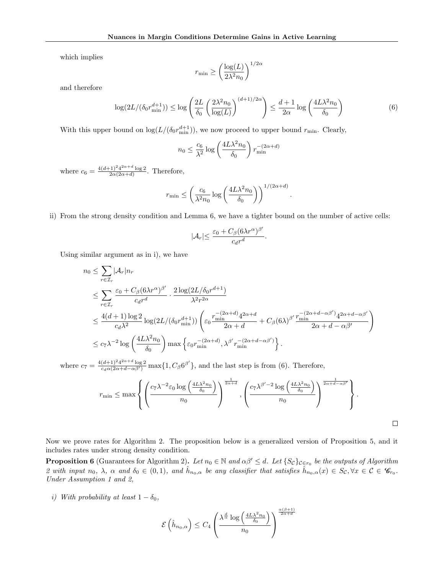which implies

$$
r_{\min} \geq \left(\frac{\log(L)}{2\lambda^2 n_0}\right)^{1/2\alpha}
$$

and therefore

$$
\log(2L/(\delta_0 r_{\min}^{d+1})) \le \log\left(\frac{2L}{\delta_0} \left(\frac{2\lambda^2 n_0}{\log(L)}\right)^{(d+1)/2\alpha}\right) \le \frac{d+1}{2\alpha} \log\left(\frac{4L\lambda^2 n_0}{\delta_0}\right) \tag{6}
$$

.

 $\Box$ 

With this upper bound on  $\log(L/(\delta_0 r_{\min}^{d+1}))$ , we now proceed to upper bound  $r_{\min}$ . Clearly,

$$
n_0 \le \frac{c_6}{\lambda^2} \log \left( \frac{4L\lambda^2 n_0}{\delta_0} \right) r_{\min}^{-(2\alpha+d)}
$$

where  $c_6 = \frac{4(d+1)^2 4^{2\alpha+d} \log 2}{2\alpha(2\alpha+d)}$  $rac{2\alpha(2\alpha+d)}{2\alpha(2\alpha+d)}$ . Therefore,

$$
r_{\min} \le \left(\frac{c_6}{\lambda^2 n_0} \log \left(\frac{4L\lambda^2 n_0}{\delta_0}\right)\right)^{1/(2\alpha+d)}
$$

ii) From the strong density condition and Lemma 6, we have a tighter bound on the number of active cells:

$$
|\mathcal{A}_r| \leq \frac{\varepsilon_0 + C_\beta (6\lambda r^\alpha)^{\beta'}}{c_d r^d}.
$$

Using similar argument as in i), we have

$$
n_0 \leq \sum_{r \in \mathcal{I}_r} |\mathcal{A}_r| n_r
$$
  
\n
$$
\leq \sum_{r \in \mathcal{I}_r} \frac{\varepsilon_0 + C_\beta (6\lambda r^\alpha)^{\beta'}}{c_d r^d} \cdot \frac{2 \log(2L/\delta_0 r^{d+1})}{\lambda^2 r^{2\alpha}}
$$
  
\n
$$
\leq \frac{4(d+1) \log 2}{c_d \lambda^2} \log(2L/(\delta_0 r_{\min}^{d+1})) \left( \varepsilon_0 \frac{r_{\min}^{-(2\alpha+d)} 4^{2\alpha+d}}{2\alpha+d} + C_\beta (6\lambda)^{\beta'} \frac{r_{\min}^{-(2\alpha+d-\alpha\beta')} 4^{2\alpha+d-\alpha\beta'}}{2\alpha+d-\alpha\beta'} \right)
$$
  
\n
$$
\leq c_7 \lambda^{-2} \log \left( \frac{4L\lambda^2 n_0}{\delta_0} \right) \max \left\{ \varepsilon_0 r_{\min}^{-(2\alpha+d)}, \lambda^{\beta'} r_{\min}^{-(2\alpha+d-\alpha\beta')} \right\}.
$$

where  $c_7 = \frac{4(d+1)^2 4^{2\alpha+d} \log 2}{c_d \alpha (2\alpha+d-\alpha\beta')} \max\{1, C_\beta 6^{\beta'}\}\$ , and the last step is from (6). Therefore,

$$
r_{\min} \leq \max \left\{ \left( \frac{c_7 \lambda^{-2} \varepsilon_0 \log \left( \frac{4L\lambda^2 n_0}{\delta_0} \right)}{n_0} \right)^{\frac{1}{2\alpha+d}}, \left( \frac{c_7 \lambda^{\beta'-2} \log \left( \frac{4L\lambda^2 n_0}{\delta_0} \right)}{n_0} \right)^{\frac{1}{2\alpha+d-\alpha\beta'}} \right\}.
$$

Now we prove rates for Algorithm 2. The proposition below is a generalized version of Proposition 5, and it includes rates under strong density condition.

**Proposition 6** (Guarantees for Algorithm 2). Let  $n_0 \in \mathbb{N}$  and  $\alpha \beta' \leq d$ . Let  $\{S_{\mathcal{C}}\}_{\mathcal{C}\in r_0}$  be the outputs of Algorithm 2 with input  $n_0$ ,  $\lambda$ ,  $\alpha$  and  $\delta_0 \in (0,1)$ , and  $\hat{h}_{n_0,\alpha}$  be any classifier that satisfies  $\hat{h}_{n_0,\alpha}(x) \in S_{\mathcal{C}}, \forall x \in \mathcal{C} \in \mathscr{C}_{r_0}$ . Under Assumption 1 and 2,

i) With probability at least  $1 - \delta_0$ ,

$$
\mathcal{E}\left(\hat{h}_{n_0,\alpha}\right) \leq C_4 \left(\frac{\lambda^{\frac{d}{\alpha}} \log\left(\frac{4L\lambda^2 n_0}{\delta_0}\right)}{n_0}\right)^{\frac{\alpha(\beta+1)}{2\alpha+d}}
$$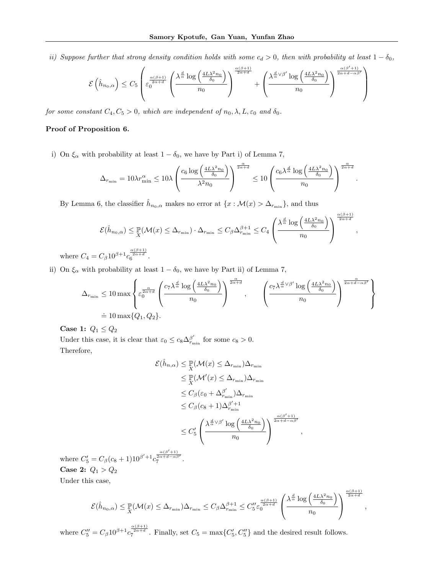ii) Suppose further that strong density condition holds with some  $c_d > 0$ , then with probability at least  $1 - \delta_0$ ,

$$
\mathcal{E}\left(\hat{h}_{n_0,\alpha}\right) \leq C_5 \left(\varepsilon_0^{\frac{\alpha(\beta+1)}{2\alpha+d}} \left(\frac{\lambda^{\frac{d}{\alpha}}\log\left(\frac{4L\lambda^2 n_0}{\delta_0}\right)}{n_0}\right)^{\frac{\alpha(\beta+1)}{2\alpha+d}} + \left(\frac{\lambda^{\frac{d}{\alpha}\vee\beta'}\log\left(\frac{4L\lambda^2 n_0}{\delta_0}\right)}{n_0}\right)^{\frac{\alpha(\beta'+1)}{2\alpha+d-\alpha\beta'}}\right)
$$

for some constant  $C_4, C_5 > 0$ , which are independent of  $n_0, \lambda, L, \varepsilon_0$  and  $\delta_0$ .

# Proof of Proposition 6.

i) On  $\xi_{\alpha}$  with probability at least  $1 - \delta_0$ , we have by Part i) of Lemma 7,

$$
\Delta_{r_{\min}} = 10 \lambda r_{\min}^{\alpha} \le 10 \lambda \left(\frac{c_6 \log \left(\frac{4L\lambda^2 n_0}{\delta_0}\right)}{\lambda^2 n_0}\right)^{\frac{\alpha}{2\alpha+d}} \le 10 \left(\frac{c_6 \lambda^{\frac{d}{\alpha}} \log \left(\frac{4L\lambda^2 n_0}{\delta_0}\right)}{n_0}\right)^{\frac{\alpha}{2\alpha+d}}.
$$

By Lemma 6, the classifier  $\hat{h}_{n_0,\alpha}$  makes no error at  $\{x:\mathcal{M}(x) > \Delta_{r_{\min}}\}$ , and thus

$$
\mathcal{E}(\hat{h}_{n_0,\alpha}) \leq \mathbb{P}(\mathcal{M}(x) \leq \Delta_{r_{\min}}) \cdot \Delta_{r_{\min}} \leq C_{\beta} \Delta_{r_{\min}}^{\beta+1} \leq C_4 \left( \frac{\lambda^{\frac{d}{\alpha}} \log \left( \frac{4L\lambda^2 n_0}{\delta_0} \right)}{n_0} \right)^{\frac{\alpha(\beta+1)}{2\alpha+d}},
$$

where  $C_4 = C_\beta 10^{\beta+1} c_6^{\frac{\alpha(\beta+1)}{2\alpha+d}}$ .

ii) On  $\xi_{\alpha}$  with probability at least  $1 - \delta_0$ , we have by Part ii) of Lemma 7,

$$
\Delta_{r_{\min}} \leq 10 \max \left\{ \varepsilon_0^{\frac{\alpha}{2\alpha+d}} \left( \frac{c_7 \lambda^{\frac{d}{\alpha}} \log \left( \frac{4L\lambda^2 n_0}{\delta_0} \right)}{n_0} \right)^{\frac{\alpha}{2\alpha+d}}, \qquad \left( \frac{c_7 \lambda^{\frac{d}{\alpha} \vee \beta'} \log \left( \frac{4L\lambda^2 n_0}{\delta_0} \right)}{n_0} \right)^{\frac{\alpha}{2\alpha+d - \alpha\beta'}} \right\}
$$
  
= 10 max{Q<sub>1</sub>, Q<sub>2</sub>}.

Case 1:  $Q_1 \leq Q_2$ 

Under this case, it is clear that  $\varepsilon_0 \leq c_8 \Delta_{r_{\min}}^{\beta'}$  for some  $c_8 > 0$ . Therefore,

$$
\mathcal{E}(\hat{h}_{n,\alpha}) \leq \mathbb{P}(\mathcal{M}(x) \leq \Delta_{r_{\min}}) \Delta_{r_{\min}}
$$
  
\n
$$
\leq \mathbb{P}(\mathcal{M}'(x) \leq \Delta_{r_{\min}}) \Delta_{r_{\min}}
$$
  
\n
$$
\leq C_{\beta} (\varepsilon_0 + \Delta_{r_{\min}}^{\beta'}) \Delta_{r_{\min}}
$$
  
\n
$$
\leq C_{\beta} (c_8 + 1) \Delta_{r_{\min}}^{\beta'+1}
$$
  
\n
$$
\leq C_5' \left( \frac{\lambda^{\frac{d}{\alpha} \vee \beta'} \log \left( \frac{4L \lambda^2 n_0}{\delta_0} \right)}{n_0} \right)^{\frac{\alpha(\beta'+1)}{2\alpha+d-\alpha\beta'}}
$$

,

where  $C'_5 = C_\beta (c_8 + 1) 10^{\beta' + 1} c_7^{\frac{\alpha(\beta' + 1)}{2\alpha + d - \alpha \beta'}}$ . Case 2:  $Q_1 > Q_2$ 

Under this case,

$$
\mathcal{E}(\hat{h}_{n_0,\alpha}) \leq \mathbb{P}(\mathcal{M}(x) \leq \Delta_{r_{\min}}) \Delta_{r_{\min}} \leq C_{\beta} \Delta_{r_{\min}}^{\beta+1} \leq C_{5}'' \varepsilon_{0}^{\frac{\alpha(\beta+1)}{2\alpha+d}} \left(\frac{\lambda^{\frac{d}{\alpha}} \log\left(\frac{4L\lambda^{2}n_{0}}{\delta_{0}}\right)}{n_{0}}\right)^{\frac{\alpha(\beta+1)}{2\alpha+d}},
$$

where  $C''_5 = C_\beta 10^{\beta+1} c_7^{\frac{\alpha(\beta+1)}{2\alpha+d}}$ . Finally, set  $C_5 = \max\{C'_5, C''_5\}$  and the desired result follows.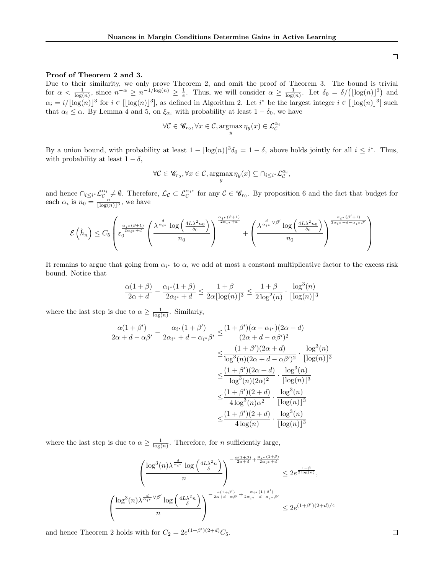### Proof of Theorem 2 and 3.

Due to their similarity, we only prove Theorem 2, and omit the proof of Theorem 3. The bound is trivial for  $\alpha < \frac{1}{\log(n)}$ , since  $n^{-\alpha} \ge n^{-1/\log(n)} \ge \frac{1}{e}$ . Thus, we will consider  $\alpha \ge \frac{1}{\log(n)}$ . Let  $\delta_0 = \delta/(\lfloor \log(n) \rfloor^3)$  and  $\alpha_i = i/[\log(n)]^3$  for  $i \in [\lfloor \log(n) \rfloor^3]$ , as defined in Algorithm 2. Let  $i^*$  be the largest integer  $i \in [\lfloor \log(n) \rfloor^3]$  such that  $\alpha_i \leq \alpha$ . By Lemma 4 and 5, on  $\xi_{\alpha_i}$  with probability at least  $1 - \delta_0$ , we have

$$
\forall \mathcal{C} \in \mathscr{C}_{r_0}, \forall x \in \mathcal{C}, \underset{y}{\operatorname{argmax}} \eta_y(x) \in \mathcal{L}_{\mathcal{C}}^{\alpha_i}
$$

By a union bound, with probability at least  $1 - \lfloor \log(n) \rfloor^3 \delta_0 = 1 - \delta$ , above holds jointly for all  $i \leq i^*$ . Thus, with probability at least  $1 - \delta$ ,

$$
\forall \mathcal{C} \in \mathscr{C}_{r_0}, \forall x \in \mathcal{C}, \underset{y}{\operatorname{argmax}} \,\eta_y(x) \subseteq \bigcap_{i \leq i^*} \mathcal{L}_{\mathcal{C}}^{\alpha_i},
$$

and hence  $\bigcap_{i\leq i^*}\mathcal{L}_{\mathcal{C}}^{\alpha_i}\neq\emptyset$ . Therefore,  $\mathcal{L}_{\mathcal{C}}\subset\mathcal{L}_{\mathcal{C}}^{\alpha_i*}$  for any  $\mathcal{C}\in\mathscr{C}_{r_0}$ . By proposition 6 and the fact that budget for each  $\alpha_i$  is  $n_0 = \frac{n}{\lfloor \log(n) \rfloor^3}$ , we have

$$
\mathcal{E}\left(\widehat{h}_n\right)\leq C_5\left(\varepsilon_0^{\frac{\alpha_{i^*}(\beta+1)}{2\alpha_i+4}}\left(\frac{\lambda^{\frac{d}{\alpha_{i^*}}}\log\left(\frac{4L\lambda^2n_0}{\delta_0}\right)}{n_0}\right)^{\frac{\alpha_i*(\beta+1)}{2\alpha_i+4}}+\left(\frac{\lambda^{\frac{d}{\alpha_i+}\vee\beta'}\log\left(\frac{4L\lambda^2n_0}{\delta_0}\right)}{n_0}\right)^{\frac{\alpha_i*(\beta'+1)}{2\alpha_i+4-\alpha_i*\beta'}}\right)
$$

It remains to argue that going from  $\alpha_{i^*}$  to  $\alpha$ , we add at most a constant multiplicative factor to the excess risk bound. Notice that

$$
\frac{\alpha(1+\beta)}{2\alpha+d} - \frac{\alpha_{i^*}(1+\beta)}{2\alpha_{i^*}+d} \le \frac{1+\beta}{2\alpha \lfloor \log(n) \rfloor^3} \le \frac{1+\beta}{2\log^2(n)} \cdot \frac{\log^3(n)}{\lfloor \log(n) \rfloor^3}
$$

where the last step is due to  $\alpha \geq \frac{1}{\log(n)}$ . Similarly,

$$
\frac{\alpha(1+\beta')}{2\alpha+d-\alpha\beta'} - \frac{\alpha_{i^*}(1+\beta')}{2\alpha_{i^*}+d-\alpha_{i^*}\beta'} \leq \frac{(1+\beta')(\alpha-\alpha_{i^*})(2\alpha+d)}{(2\alpha+d-\alpha\beta')^2} \n\leq \frac{(1+\beta')(2\alpha+d)}{\log^3(n)(2\alpha+d-\alpha\beta')^2} \cdot \frac{\log^3(n)}{[\log(n)]^3} \n\leq \frac{(1+\beta')(2\alpha+d)}{\log^3(n)(2\alpha)^2} \cdot \frac{\log^3(n)}{[\log(n)]^3} \n\leq \frac{(1+\beta')(2+d)}{4\log^3(n)\alpha^2} \cdot \frac{\log^3(n)}{[\log(n)]^3} \n\leq \frac{(1+\beta')(2+d)}{4\log(n)} \cdot \frac{\log^3(n)}{[\log(n)]^3}
$$

where the last step is due to  $\alpha \geq \frac{1}{\log(n)}$ . Therefore, for *n* sufficiently large,

$$
\frac{\left(\frac{\log^3(n)\lambda^{\frac{d}{\alpha_{i^*}}}\log\left(\frac{4L\lambda^2n}{\delta}\right)}{n}\right)^{-\frac{\alpha(1+\beta)}{2\alpha+d}+\frac{\alpha_{i^*}(1+\beta)}{2\alpha_{i^*}+d}}}{\left(\frac{m}{\delta}\right)^{\frac{d}{\alpha_{i^*}}\vee\beta'}\log\left(\frac{4L\lambda^2n}{\delta}\right)} \leq 2e^{\frac{1+\beta}{2\alpha_{i^*}+d}} \leq 2e^{\frac{1+\beta}{2\alpha_{i^*}+d}}.
$$

and hence Theorem 2 holds with for  $C_2 = 2e^{(1+\beta')(2+d)}C_5$ .

 $\sqrt{ }$  $\mathcal{L}$